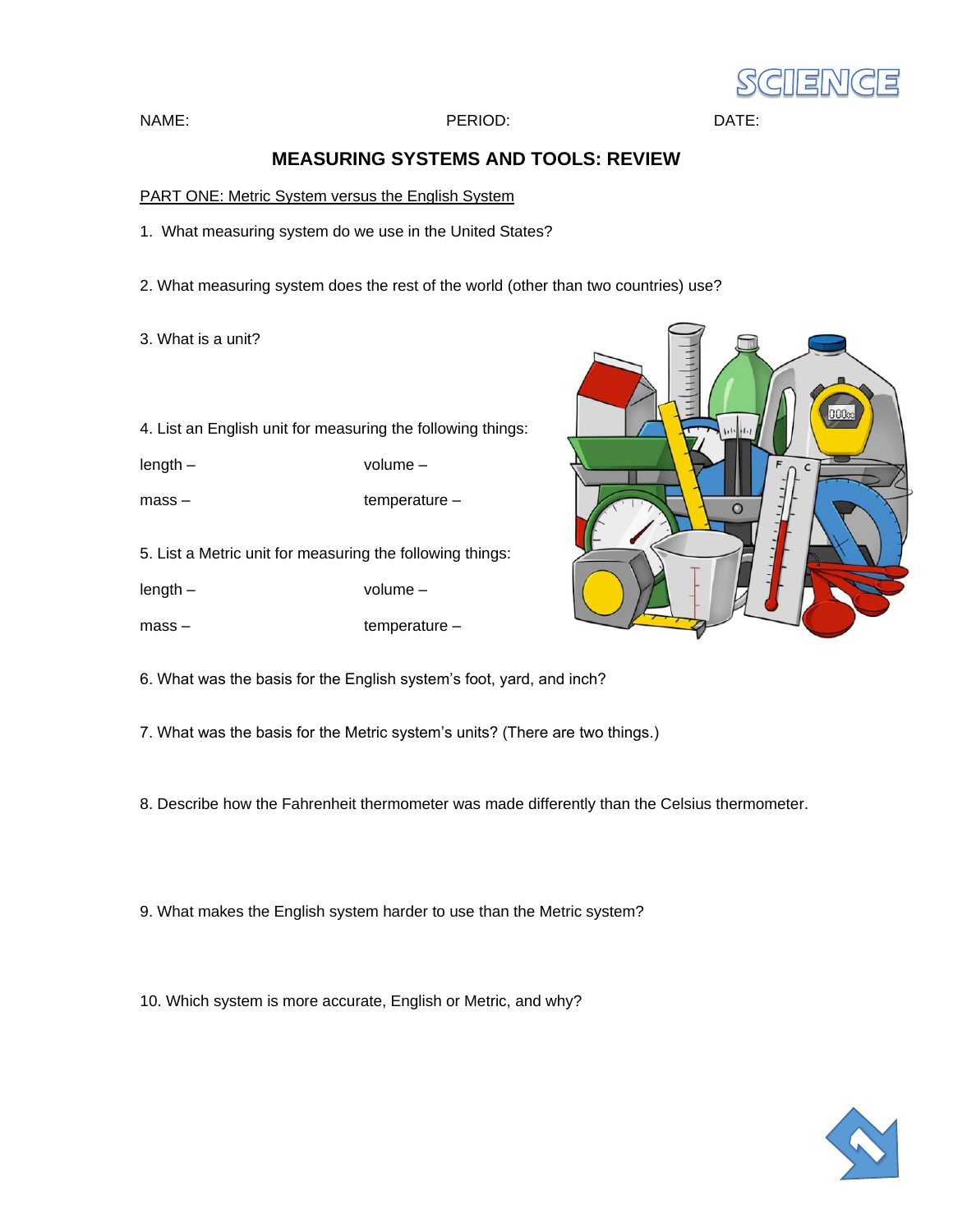

#### NAME: PERIOD:DATE:

# **MEASURING SYSTEMS AND TOOLS: REVIEW**

PART ONE: Metric System versus the English System

1. What measuring system do we use in the United States?

2. What measuring system does the rest of the world (other than two countries) use?

3. What is a unit?

4. List an English unit for measuring the following things:

length – volume –

mass – temperature –

5. List a Metric unit for measuring the following things:

length – volume –

mass – temperature –



6. What was the basis for the English system's foot, yard, and inch?

7. What was the basis for the Metric system's units? (There are two things.)

8. Describe how the Fahrenheit thermometer was made differently than the Celsius thermometer.

9. What makes the English system harder to use than the Metric system?

10. Which system is more accurate, English or Metric, and why?

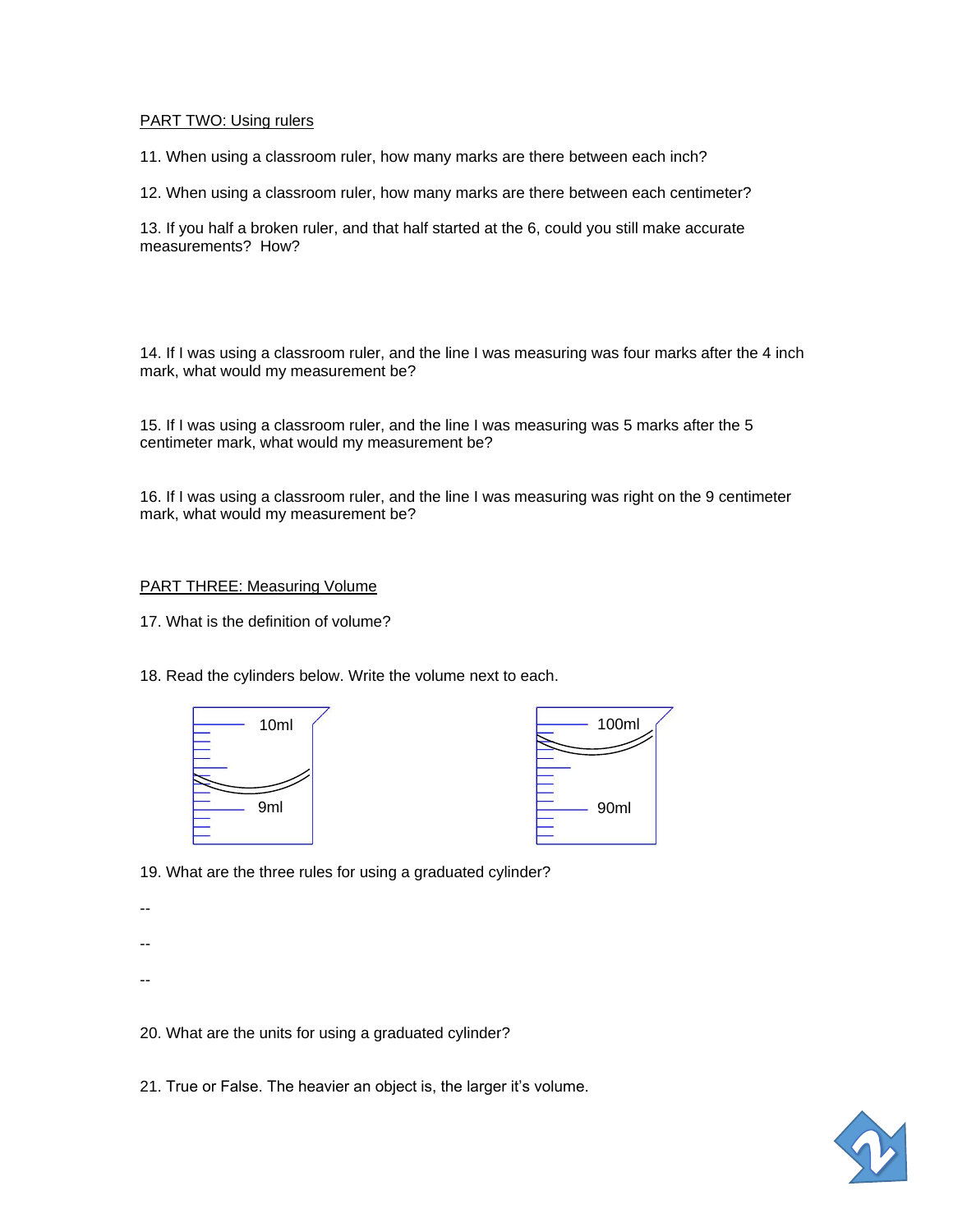### PART TWO: Using rulers

11. When using a classroom ruler, how many marks are there between each inch?

12. When using a classroom ruler, how many marks are there between each centimeter?

13. If you half a broken ruler, and that half started at the 6, could you still make accurate measurements? How?

14. If I was using a classroom ruler, and the line I was measuring was four marks after the 4 inch mark, what would my measurement be?

15. If I was using a classroom ruler, and the line I was measuring was 5 marks after the 5 centimeter mark, what would my measurement be?

16. If I was using a classroom ruler, and the line I was measuring was right on the 9 centimeter mark, what would my measurement be?

#### PART THREE: Measuring Volume

17. What is the definition of volume?

18. Read the cylinders below. Write the volume next to each.





19. What are the three rules for using a graduated cylinder?

--

--

--

20. What are the units for using a graduated cylinder?

21. True or False. The heavier an object is, the larger it's volume.

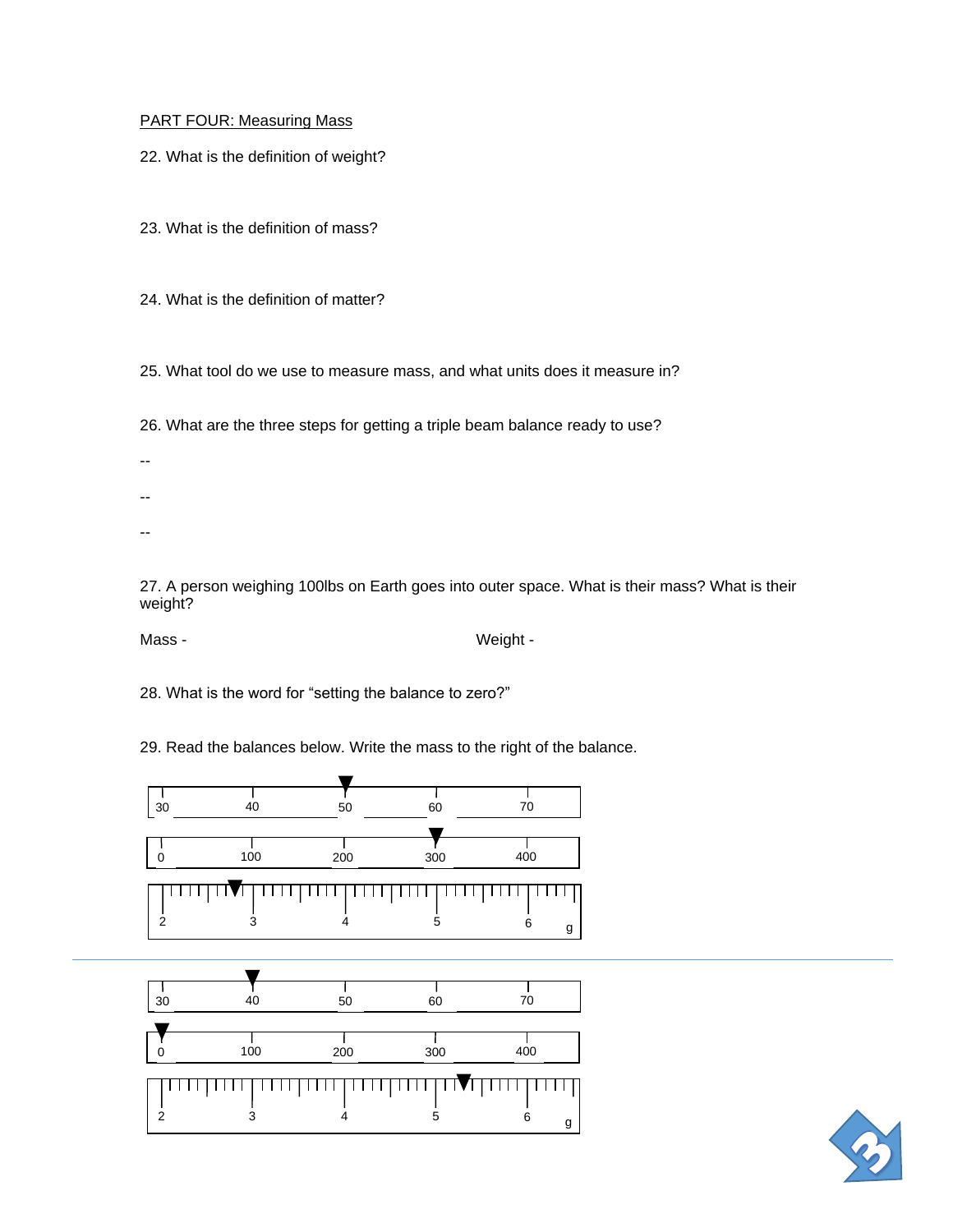## PART FOUR: Measuring Mass

22. What is the definition of weight?

23. What is the definition of mass?

24. What is the definition of matter?

25. What tool do we use to measure mass, and what units does it measure in?

26. What are the three steps for getting a triple beam balance ready to use?

- --
- --
- --

27. A person weighing 100lbs on Earth goes into outer space. What is their mass? What is their weight?

Mass - Weight - Weight -

28. What is the word for "setting the balance to zero?"

29. Read the balances below. Write the mass to the right of the balance.